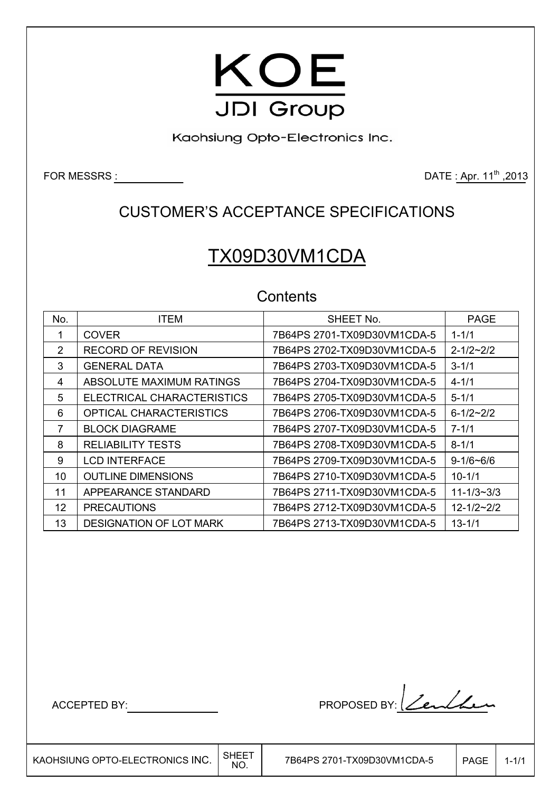

Kaohsiung Opto-Electronics Inc.

FOR MESSRS : 2013

### CUSTOMER'S ACCEPTANCE SPECIFICATIONS

# TX09D30VM1CDA

### **Contents**

| No. | <b>ITEM</b>                    | SHEET No.                   | <b>PAGE</b>      |
|-----|--------------------------------|-----------------------------|------------------|
|     | <b>COVER</b>                   | 7B64PS 2701-TX09D30VM1CDA-5 | $1 - 1/1$        |
| 2   | <b>RECORD OF REVISION</b>      | 7B64PS 2702-TX09D30VM1CDA-5 | $2 - 1/2 - 2/2$  |
| 3   | <b>GENERAL DATA</b>            | 7B64PS 2703-TX09D30VM1CDA-5 | $3 - 1/1$        |
| 4   | ABSOLUTE MAXIMUM RATINGS       | 7B64PS 2704-TX09D30VM1CDA-5 | $4 - 1/1$        |
| 5   | ELECTRICAL CHARACTERISTICS     | 7B64PS 2705-TX09D30VM1CDA-5 | $5 - 1/1$        |
| 6   | <b>OPTICAL CHARACTERISTICS</b> | 7B64PS 2706-TX09D30VM1CDA-5 | $6 - 1/2 - 2/2$  |
| 7   | <b>BLOCK DIAGRAME</b>          | 7B64PS 2707-TX09D30VM1CDA-5 | $7 - 1/1$        |
| 8   | <b>RELIABILITY TESTS</b>       | 7B64PS 2708-TX09D30VM1CDA-5 | $8 - 1/1$        |
| 9   | <b>LCD INTERFACE</b>           | 7B64PS 2709-TX09D30VM1CDA-5 | $9 - 1/6 - 6/6$  |
| 10  | <b>OUTLINE DIMENSIONS</b>      | 7B64PS 2710-TX09D30VM1CDA-5 | $10 - 1/1$       |
| 11  | APPEARANCE STANDARD            | 7B64PS 2711-TX09D30VM1CDA-5 | $11 - 1/3 - 3/3$ |
| 12  | <b>PRECAUTIONS</b>             | 7B64PS 2712-TX09D30VM1CDA-5 | $12 - 1/2 - 2/2$ |
| 13  | <b>DESIGNATION OF LOT MARK</b> | 7B64PS 2713-TX09D30VM1CDA-5 | $13 - 1/1$       |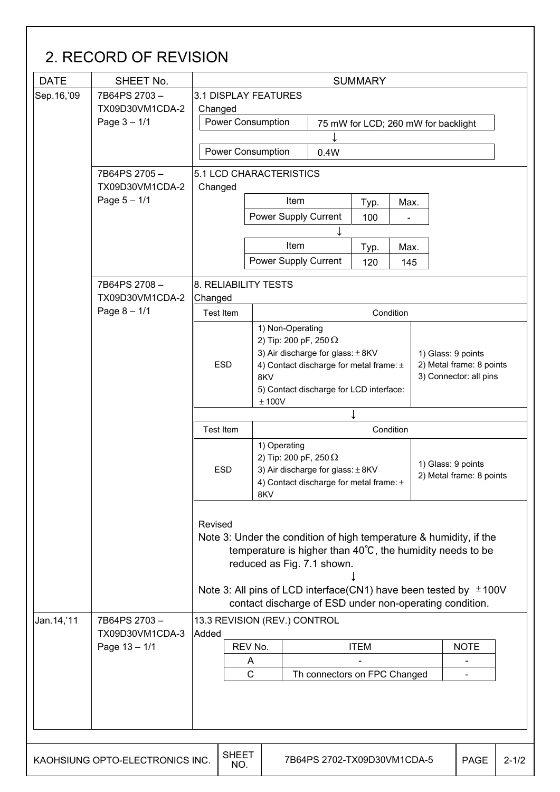| Sep. 16, '09 | SHEET No.                       | <b>SUMMARY</b>              |                                                                       |                                       |                                         |      |                                                    |           |
|--------------|---------------------------------|-----------------------------|-----------------------------------------------------------------------|---------------------------------------|-----------------------------------------|------|----------------------------------------------------|-----------|
|              | 7B64PS 2703-                    | <b>3.1 DISPLAY FEATURES</b> |                                                                       |                                       |                                         |      |                                                    |           |
|              | TX09D30VM1CDA-2                 | Changed                     |                                                                       |                                       |                                         |      |                                                    |           |
|              | Page $3 - 1/1$                  |                             | <b>Power Consumption</b><br>75 mW for LCD; 260 mW for backlight       |                                       |                                         |      |                                                    |           |
|              |                                 |                             |                                                                       |                                       |                                         |      |                                                    |           |
|              |                                 |                             | <b>Power Consumption</b>                                              | 0.4W                                  |                                         |      |                                                    |           |
|              | 7B64PS 2705-<br>TX09D30VM1CDA-2 | Changed                     | 5.1 LCD CHARACTERISTICS                                               |                                       |                                         |      |                                                    |           |
|              | Page $5 - 1/1$                  |                             | Item<br>Typ.                                                          |                                       | Max.                                    |      |                                                    |           |
|              |                                 |                             | Power Supply Current                                                  |                                       | 100                                     |      |                                                    |           |
|              |                                 |                             |                                                                       |                                       |                                         |      |                                                    |           |
|              |                                 |                             | Item                                                                  |                                       | Typ.                                    | Max. |                                                    |           |
|              |                                 |                             | Power Supply Current                                                  |                                       | 120                                     | 145  |                                                    |           |
|              | 7B64PS 2708-                    | <b>8. RELIABILITY TESTS</b> |                                                                       |                                       |                                         |      |                                                    |           |
|              | TX09D30VM1CDA-2                 | Changed                     |                                                                       |                                       |                                         |      |                                                    |           |
|              | Page $8 - 1/1$                  | Test Item                   |                                                                       |                                       | Condition                               |      |                                                    |           |
|              |                                 |                             | 1) Non-Operating                                                      |                                       |                                         |      |                                                    |           |
|              |                                 |                             | 2) Tip: 200 pF, 250 $\Omega$                                          |                                       |                                         |      |                                                    |           |
|              |                                 |                             |                                                                       | 3) Air discharge for glass: $\pm$ 8KV |                                         |      | 1) Glass: 9 points                                 |           |
|              |                                 | <b>ESD</b>                  |                                                                       |                                       | 4) Contact discharge for metal frame: ± |      | 2) Metal frame: 8 points<br>3) Connector: all pins |           |
|              |                                 |                             | 8KV                                                                   |                                       |                                         |      |                                                    |           |
|              |                                 |                             | ± 100V                                                                |                                       | 5) Contact discharge for LCD interface: |      |                                                    |           |
|              |                                 |                             |                                                                       |                                       |                                         |      |                                                    |           |
|              |                                 | <b>Test Item</b>            | Condition                                                             |                                       |                                         |      |                                                    |           |
|              |                                 |                             | 1) Operating                                                          |                                       |                                         |      |                                                    |           |
|              |                                 |                             |                                                                       |                                       |                                         |      |                                                    |           |
|              |                                 |                             | 2) Tip: 200 pF, 250 $\Omega$                                          |                                       |                                         |      |                                                    |           |
|              |                                 | <b>ESD</b>                  | 3) Air discharge for glass: $\pm$ 8KV                                 |                                       |                                         |      | 1) Glass: 9 points<br>2) Metal frame: 8 points     |           |
|              |                                 |                             |                                                                       |                                       | 4) Contact discharge for metal frame: ± |      |                                                    |           |
|              |                                 |                             | 8KV                                                                   |                                       |                                         |      |                                                    |           |
|              |                                 | Revised                     |                                                                       |                                       |                                         |      |                                                    |           |
|              |                                 |                             | Note 3: Under the condition of high temperature & humidity, if the    |                                       |                                         |      |                                                    |           |
|              |                                 |                             | temperature is higher than $40^{\circ}$ C, the humidity needs to be   |                                       |                                         |      |                                                    |           |
|              |                                 |                             | reduced as Fig. 7.1 shown.                                            |                                       |                                         |      |                                                    |           |
|              |                                 |                             |                                                                       |                                       |                                         |      |                                                    |           |
|              |                                 |                             | Note 3: All pins of LCD interface(CN1) have been tested by $\pm$ 100V |                                       |                                         |      |                                                    |           |
|              |                                 |                             | contact discharge of ESD under non-operating condition.               |                                       |                                         |      |                                                    |           |
| Jan.14,'11   | 7B64PS 2703-                    |                             | 13.3 REVISION (REV.) CONTROL                                          |                                       |                                         |      |                                                    |           |
|              | TX09D30VM1CDA-3                 | Added                       |                                                                       |                                       |                                         |      |                                                    |           |
|              | Page 13 - 1/1                   |                             | REV No.                                                               |                                       | <b>ITEM</b>                             |      | <b>NOTE</b>                                        |           |
|              |                                 |                             | A<br>$\mathsf{C}$                                                     |                                       | Th connectors on FPC Changed            |      | $\overline{\phantom{a}}$                           |           |
|              |                                 |                             |                                                                       |                                       |                                         |      |                                                    |           |
|              |                                 |                             |                                                                       |                                       |                                         |      |                                                    |           |
|              |                                 |                             |                                                                       |                                       |                                         |      |                                                    |           |
|              |                                 |                             |                                                                       |                                       |                                         |      |                                                    |           |
|              | KAOHSIUNG OPTO-ELECTRONICS INC. | <b>SHEET</b>                |                                                                       |                                       | 7B64PS 2702-TX09D30VM1CDA-5             |      | <b>PAGE</b>                                        | $2 - 1/2$ |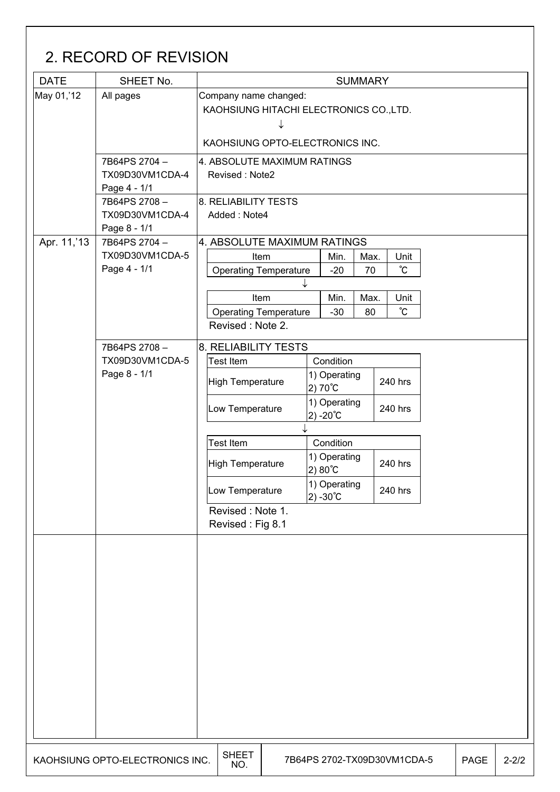| <b>DATE</b> | SHEET No.                       |                                         |                                               |              |                   |                  | <b>SUMMARY</b> |  |                             |  |             |           |
|-------------|---------------------------------|-----------------------------------------|-----------------------------------------------|--------------|-------------------|------------------|----------------|--|-----------------------------|--|-------------|-----------|
| May 01,'12  | All pages                       |                                         | Company name changed:                         |              |                   |                  |                |  |                             |  |             |           |
|             |                                 | KAOHSIUNG HITACHI ELECTRONICS CO., LTD. |                                               |              |                   |                  |                |  |                             |  |             |           |
|             |                                 |                                         |                                               |              |                   |                  |                |  |                             |  |             |           |
|             |                                 |                                         | KAOHSIUNG OPTO-ELECTRONICS INC.               |              |                   |                  |                |  |                             |  |             |           |
|             |                                 |                                         |                                               |              |                   |                  |                |  |                             |  |             |           |
|             | 7B64PS 2704-<br>TX09D30VM1CDA-4 |                                         | 4. ABSOLUTE MAXIMUM RATINGS<br>Revised: Note2 |              |                   |                  |                |  |                             |  |             |           |
|             | Page 4 - 1/1                    |                                         |                                               |              |                   |                  |                |  |                             |  |             |           |
|             | 7B64PS 2708-                    |                                         | 8. RELIABILITY TESTS                          |              |                   |                  |                |  |                             |  |             |           |
|             | TX09D30VM1CDA-4                 |                                         | Added: Note4                                  |              |                   |                  |                |  |                             |  |             |           |
|             | Page 8 - 1/1                    |                                         |                                               |              |                   |                  |                |  |                             |  |             |           |
| Apr. 11,'13 | 7B64PS 2704-                    |                                         | 4. ABSOLUTE MAXIMUM RATINGS                   |              |                   |                  |                |  |                             |  |             |           |
|             | TX09D30VM1CDA-5                 |                                         | <b>Item</b>                                   |              |                   | Min.             | Max.           |  | Unit                        |  |             |           |
|             | Page 4 - 1/1                    |                                         | <b>Operating Temperature</b>                  |              |                   | $-20$            | 70             |  | $^{\circ}$ C                |  |             |           |
|             |                                 |                                         |                                               |              |                   |                  |                |  |                             |  |             |           |
|             |                                 |                                         | Item                                          |              |                   | Min.             | Max.           |  | Unit                        |  |             |           |
|             |                                 |                                         | <b>Operating Temperature</b>                  |              |                   | $-30$            | 80             |  | °C                          |  |             |           |
|             |                                 |                                         | Revised: Note 2.                              |              |                   |                  |                |  |                             |  |             |           |
|             | 7B64PS 2708-                    |                                         | 8. RELIABILITY TESTS                          |              |                   |                  |                |  |                             |  |             |           |
|             | TX09D30VM1CDA-5                 |                                         | Test Item                                     |              | Condition         |                  |                |  |                             |  |             |           |
|             | Page 8 - 1/1                    | High Temperature                        |                                               | 1) Operating |                   |                  | 240 hrs        |  |                             |  |             |           |
|             |                                 |                                         |                                               |              |                   | $2)70^{\circ}$ C |                |  |                             |  |             |           |
|             |                                 |                                         | Low Temperature                               |              |                   | 1) Operating     |                |  | 240 hrs                     |  |             |           |
|             |                                 |                                         | $2) - 20^{\circ}C$                            |              |                   |                  |                |  |                             |  |             |           |
|             |                                 |                                         | <b>Test Item</b>                              |              | Condition         |                  |                |  |                             |  |             |           |
|             |                                 |                                         |                                               |              |                   | 1) Operating     |                |  |                             |  |             |           |
|             |                                 |                                         | <b>High Temperature</b>                       |              | $2) 80^{\circ}$ C |                  |                |  | 240 hrs                     |  |             |           |
|             |                                 |                                         | Low Temperature                               |              |                   | 1) Operating     |                |  | 240 hrs                     |  |             |           |
|             |                                 |                                         |                                               |              | $2) -30^{\circ}C$ |                  |                |  |                             |  |             |           |
|             |                                 |                                         | Revised: Note 1.                              |              |                   |                  |                |  |                             |  |             |           |
|             |                                 |                                         | Revised: Fig 8.1                              |              |                   |                  |                |  |                             |  |             |           |
|             |                                 |                                         |                                               |              |                   |                  |                |  |                             |  |             |           |
|             |                                 |                                         |                                               |              |                   |                  |                |  |                             |  |             |           |
|             |                                 |                                         |                                               |              |                   |                  |                |  |                             |  |             |           |
|             |                                 |                                         |                                               |              |                   |                  |                |  |                             |  |             |           |
|             |                                 |                                         |                                               |              |                   |                  |                |  |                             |  |             |           |
|             |                                 |                                         |                                               |              |                   |                  |                |  |                             |  |             |           |
|             |                                 |                                         |                                               |              |                   |                  |                |  |                             |  |             |           |
|             |                                 |                                         |                                               |              |                   |                  |                |  |                             |  |             |           |
|             |                                 |                                         |                                               |              |                   |                  |                |  |                             |  |             |           |
|             |                                 |                                         |                                               |              |                   |                  |                |  |                             |  |             |           |
|             |                                 |                                         |                                               |              |                   |                  |                |  |                             |  |             |           |
|             |                                 |                                         |                                               |              |                   |                  |                |  |                             |  |             |           |
|             |                                 |                                         |                                               |              |                   |                  |                |  |                             |  |             |           |
|             |                                 |                                         |                                               |              |                   |                  |                |  |                             |  |             |           |
|             | KAOHSIUNG OPTO-ELECTRONICS INC. |                                         | <b>SHEET</b><br>NO.                           |              |                   |                  |                |  | 7B64PS 2702-TX09D30VM1CDA-5 |  | <b>PAGE</b> | $2 - 2/2$ |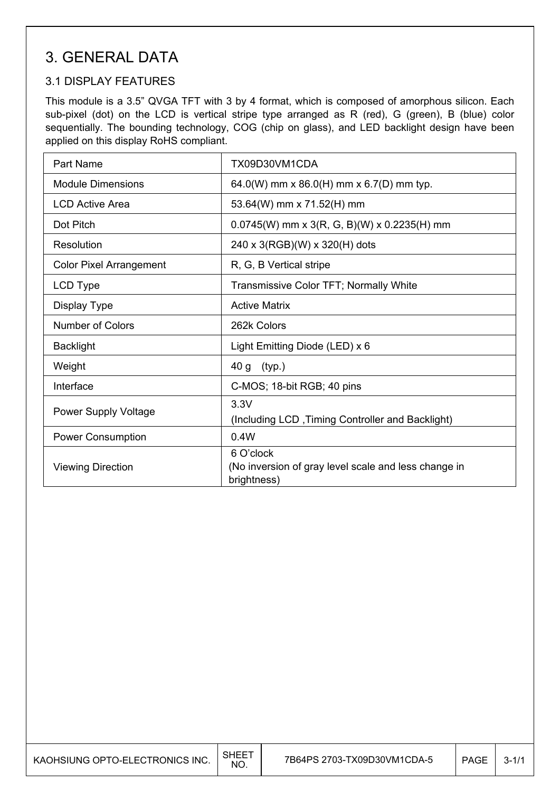### 3. GENERAL DATA

### 3.1 DISPLAY FEATURES

This module is a 3.5" QVGA TFT with 3 by 4 format, which is composed of amorphous silicon. Each sub-pixel (dot) on the LCD is vertical stripe type arranged as R (red), G (green), B (blue) color sequentially. The bounding technology, COG (chip on glass), and LED backlight design have been applied on this display RoHS compliant.

| <b>Part Name</b>               | TX09D30VM1CDA                                                                    |
|--------------------------------|----------------------------------------------------------------------------------|
| <b>Module Dimensions</b>       | 64.0(W) mm x 86.0(H) mm x 6.7(D) mm typ.                                         |
| <b>LCD Active Area</b>         | 53.64(W) mm x 71.52(H) mm                                                        |
| Dot Pitch                      | $0.0745(W)$ mm x 3(R, G, B)(W) x 0.2235(H) mm                                    |
| Resolution                     | 240 x 3(RGB)(W) x 320(H) dots                                                    |
| <b>Color Pixel Arrangement</b> | R, G, B Vertical stripe                                                          |
| <b>LCD Type</b>                | Transmissive Color TFT; Normally White                                           |
| Display Type                   | <b>Active Matrix</b>                                                             |
| <b>Number of Colors</b>        | 262k Colors                                                                      |
| <b>Backlight</b>               | Light Emitting Diode (LED) x 6                                                   |
| Weight                         | 40 g<br>(typ.)                                                                   |
| Interface                      | C-MOS; 18-bit RGB; 40 pins                                                       |
| <b>Power Supply Voltage</b>    | 3.3V<br>(Including LCD, Timing Controller and Backlight)                         |
| <b>Power Consumption</b>       | 0.4W                                                                             |
| <b>Viewing Direction</b>       | 6 O'clock<br>(No inversion of gray level scale and less change in<br>brightness) |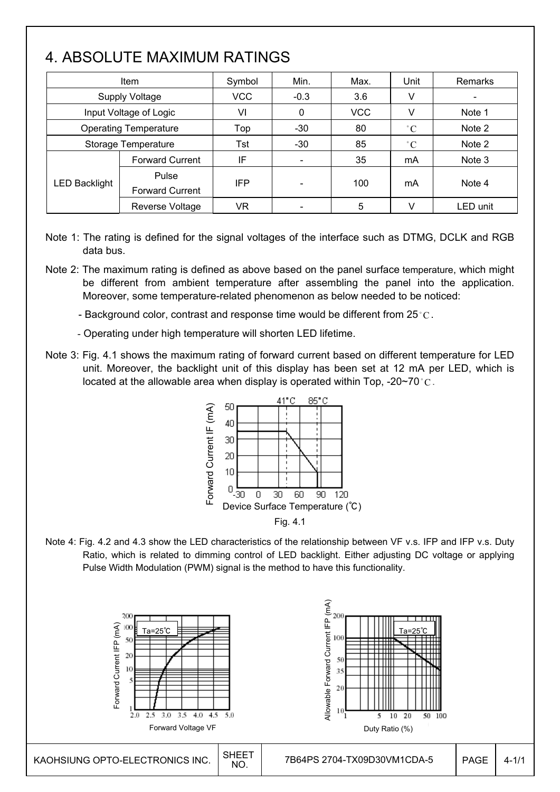# 4. ABSOLUTE MAXIMUM RATINGS

|                              | Item                            | Symbol     | Min.                     | Max.       | Unit        | Remarks  |
|------------------------------|---------------------------------|------------|--------------------------|------------|-------------|----------|
|                              | <b>Supply Voltage</b>           | <b>VCC</b> | $-0.3$                   | 3.6        | V           |          |
|                              | Input Voltage of Logic          | VI         | 0                        | <b>VCC</b> | v           | Note 1   |
| <b>Operating Temperature</b> |                                 | Top        | $-30$                    | 80         | $\degree$ C | Note 2   |
| Storage Temperature          |                                 | Tst        | $-30$                    | 85         | $\degree$ C | Note 2   |
|                              | <b>Forward Current</b>          | IF         | $\overline{\phantom{a}}$ | 35         | mA          | Note 3   |
| <b>LED Backlight</b>         | Pulse<br><b>Forward Current</b> | <b>IFP</b> | $\qquad \qquad$          | 100        | mA          | Note 4   |
| Reverse Voltage              |                                 | VR         |                          | 5          | V           | LED unit |

- Note 1: The rating is defined for the signal voltages of the interface such as DTMG, DCLK and RGB data bus.
- Note 2: The maximum rating is defined as above based on the panel surface temperature, which might be different from ambient temperature after assembling the panel into the application. Moreover, some temperature-related phenomenon as below needed to be noticed:
	- Background color, contrast and response time would be different from 25 $^{\circ}$ C.
	- Operating under high temperature will shorten LED lifetime.
- Note 3: Fig. 4.1 shows the maximum rating of forward current based on different temperature for LED unit. Moreover, the backlight unit of this display has been set at 12 mA per LED, which is located at the allowable area when display is operated within Top, -20~70  $\degree$ C.



Note 4: Fig. 4.2 and 4.3 show the LED characteristics of the relationship between VF v.s. IFP and IFP v.s. Duty Ratio, which is related to dimming control of LED backlight. Either adjusting DC voltage or applying Pulse Width Modulation (PWM) signal is the method to have this functionality.

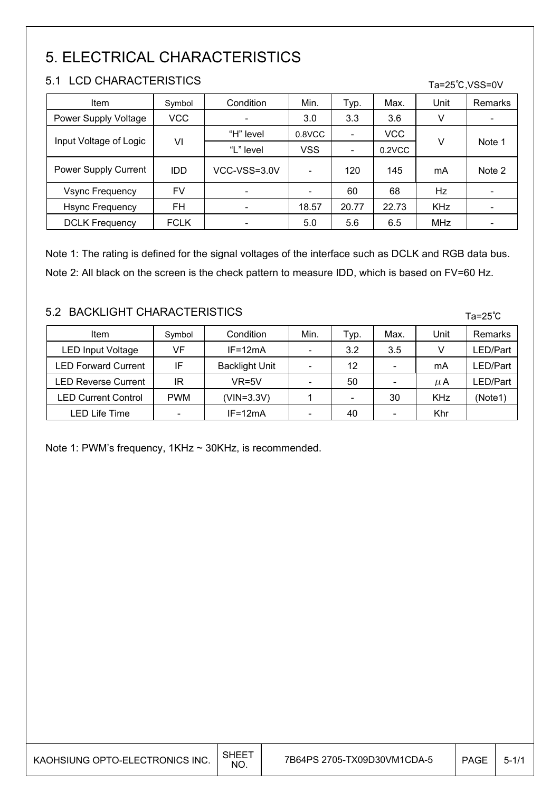# 5. ELECTRICAL CHARACTERISTICS

### 5.1 LCD CHARACTERISTICS

| : J. I                 | LUD UNARAUTERIOTIUO |                          |            |                          |            |            | Ta=25°C, VSS=0V |  |
|------------------------|---------------------|--------------------------|------------|--------------------------|------------|------------|-----------------|--|
| Item                   | Symbol              | Condition                | Min.       | Typ.                     | Max.       | Unit       | Remarks         |  |
| Power Supply Voltage   | <b>VCC</b>          | $\overline{\phantom{0}}$ | 3.0        | 3.3                      | 3.6        | ٧          | -               |  |
| Input Voltage of Logic |                     | "H" level                | 0.8VCC     | $\overline{\phantom{a}}$ | <b>VCC</b> |            | Note 1          |  |
|                        | VI                  | "L" level                | <b>VSS</b> | -                        | $0.2$ VCC  | v          |                 |  |
| Power Supply Current   | <b>IDD</b>          | VCC-VSS=3.0V             |            | 120                      | 145        | mA         | Note 2          |  |
| <b>Vsync Frequency</b> | FV                  | $\overline{\phantom{a}}$ |            | 60                       | 68         | Hz         |                 |  |
| <b>Hsync Frequency</b> | FH                  | $\overline{\phantom{0}}$ | 18.57      | 20.77                    | 22.73      | <b>KHz</b> |                 |  |
| <b>DCLK Frequency</b>  | <b>FCLK</b>         |                          | 5.0        | 5.6                      | 6.5        | <b>MHz</b> |                 |  |

Note 1: The rating is defined for the signal voltages of the interface such as DCLK and RGB data bus. Note 2: All black on the screen is the check pattern to measure IDD, which is based on FV=60 Hz.

### 5.2 BACKLIGHT CHARACTERISTICS

| Item                       | Symbol     | Condition             | Min. | Typ.                         | Max. | Unit       | Remarks |
|----------------------------|------------|-----------------------|------|------------------------------|------|------------|---------|
| LED Input Voltage          | VF         | $IF=12mA$             |      | 3.2                          | 3.5  |            | ED/Part |
| <b>LED Forward Current</b> | IF         | <b>Backlight Unit</b> |      | 12                           |      | mA         | ED/Part |
| <b>LED Reverse Current</b> | ΙR         | $VR=5V$               |      | 50                           |      | μA         | ED/Part |
| <b>LED Current Control</b> | <b>PWM</b> | (VIN=3.3V)            |      | $\qquad \qquad \blacksquare$ | 30   | <b>KHz</b> | (Note1) |
| <b>LED Life Time</b>       |            | $IF=12mA$             |      | 40                           |      | Khr        |         |

Note 1: PWM's frequency, 1KHz ~ 30KHz, is recommended.

| KAOHSIUNG OPTO-ELECTRONICS INC. | SHEET<br>NO. | 7B64PS 2705-TX09D30VM1CDA-5 | PAGE | $5 - 1/1$ |
|---------------------------------|--------------|-----------------------------|------|-----------|
|---------------------------------|--------------|-----------------------------|------|-----------|

Ta=25℃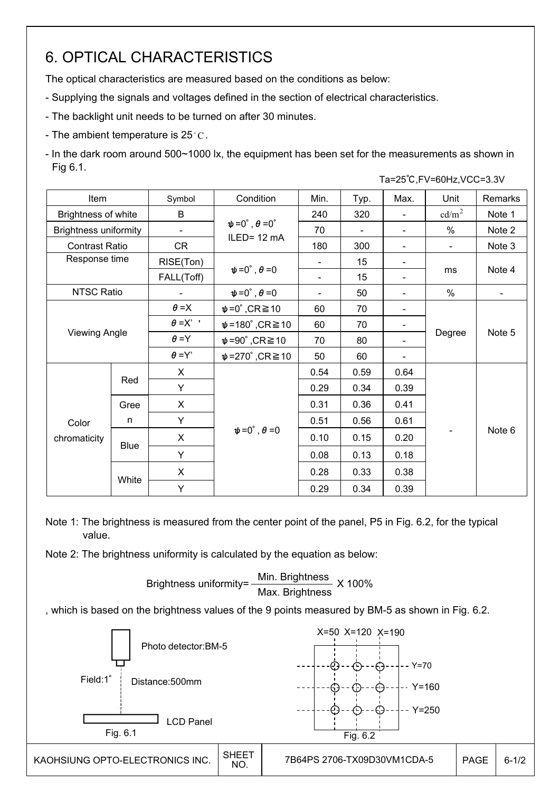# 6. OPTICAL CHARACTERISTICS

The optical characteristics are measured based on the conditions as below:

- Supplying the signals and voltages defined in the section of electrical characteristics.
- The backlight unit needs to be turned on after 30 minutes.
- The ambient temperature is  $25^{\circ}$ C.

- In the dark room around 500~1000 lx, the equipment has been set for the measurements as shown in Fig 6.1.

|                              |                  |                          |                                       |                          |      |                              | Ta=25°C, FV=60Hz, VCC=3.3V |         |  |
|------------------------------|------------------|--------------------------|---------------------------------------|--------------------------|------|------------------------------|----------------------------|---------|--|
| Item                         |                  | Symbol                   | Condition                             | Min.                     | Typ. | Max.                         | Unit                       | Remarks |  |
| Brightness of white          |                  | B                        |                                       | 240                      | 320  | $\blacksquare$               | cd/m <sup>2</sup>          | Note 1  |  |
| <b>Brightness uniformity</b> |                  | $\overline{\phantom{a}}$ | $\psi = 0^\circ$ , $\theta = 0^\circ$ | 70                       |      | $\overline{\phantom{a}}$     | $\%$                       | Note 2  |  |
| <b>Contrast Ratio</b>        |                  | <b>CR</b>                | ILED= 12 mA                           | 180                      | 300  |                              | $\blacksquare$             | Note 3  |  |
|                              | Response time    |                          |                                       |                          | 15   | $\overline{\phantom{a}}$     |                            |         |  |
|                              |                  |                          | $\psi = 0^\circ$ , $\theta = 0$       |                          | 15   | $\qquad \qquad \blacksquare$ | ms                         | Note 4  |  |
| <b>NTSC Ratio</b>            |                  |                          | $\psi = 0^\circ$ , $\theta = 0$       | $\overline{\phantom{0}}$ | 50   |                              | $\%$                       |         |  |
|                              |                  | $\theta = X$             | $\psi = 0^\circ$ , CR $\geq 10$       | 60                       | 70   | -                            |                            | Note 5  |  |
|                              |                  | $\theta = X'$            | $\psi$ =180°,CR $\geq$ 10             | 60                       | 70   |                              | Degree                     |         |  |
| <b>Viewing Angle</b>         |                  | $\theta = Y$             | $\psi = 90^\circ$ , CR $\geq 10$      | 70                       | 80   |                              |                            |         |  |
|                              |                  | $\theta = Y'$            | $\psi$ =270°,CR $\geq$ 10             | 50                       | 60   |                              |                            |         |  |
|                              |                  | $\mathsf{X}$             |                                       | 0.54                     | 0.59 | 0.64                         |                            |         |  |
|                              | Red              | Υ                        |                                       | 0.29                     | 0.34 | 0.39                         |                            |         |  |
|                              | Gree             | X                        |                                       | 0.31                     | 0.36 | 0.41                         |                            |         |  |
| Color                        | n                | Y                        |                                       | 0.51                     | 0.56 | 0.61                         |                            |         |  |
| chromaticity                 |                  | X                        | $\psi = 0^\circ$ , $\theta = 0$       | 0.10                     | 0.15 | 0.20                         |                            | Note 6  |  |
|                              | <b>Blue</b><br>Y |                          | 0.08                                  | 0.13                     | 0.18 |                              |                            |         |  |
|                              |                  | X                        |                                       | 0.28                     | 0.33 | 0.38                         |                            |         |  |
|                              | White            | Y                        |                                       | 0.29                     | 0.34 | 0.39                         |                            |         |  |

Note 1: The brightness is measured from the center point of the panel, P5 in Fig. 6.2, for the typical value.

Note 2: The brightness uniformity is calculated by the equation as below:

 100% Max. Brightnes Brightness uniformity= Min. Brightness Brightness uniformity= $\frac{\text{Min.~Brighteness}}{\text{min.~S} \times 100\%}$ Max. Brightness

, which is based on the brightness values of the 9 points measured by BM-5 as shown in Fig. 6.2.

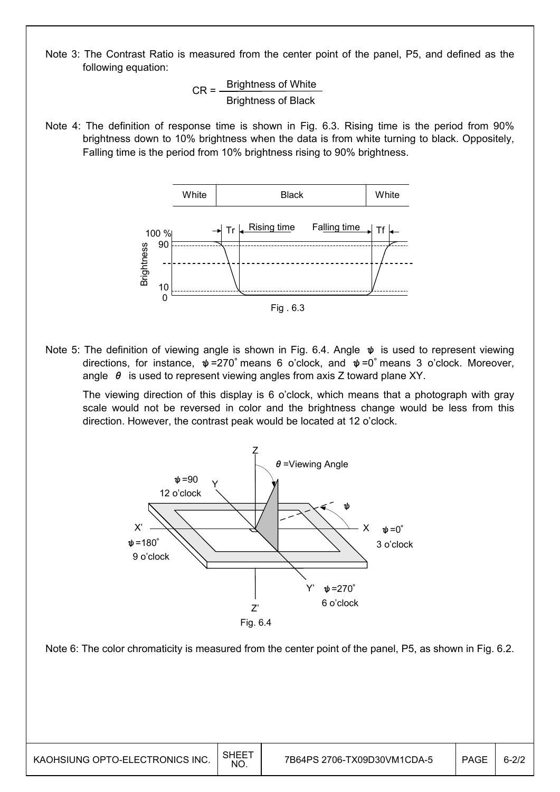Note 3: The Contrast Ratio is measured from the center point of the panel, P5, and defined as the following equation:

> $\sim$  100%  $\sim$ Brightness of Black  $CR = \frac{Brightness of White}{Brightness of Plask}$ Brightness of Black

Note 4: The definition of response time is shown in Fig. 6.3. Rising time is the period from 90% brightness down to 10% brightness when the data is from white turning to black. Oppositely, Falling time is the period from 10% brightness rising to 90% brightness.



Note 5: The definition of viewing angle is shown in Fig. 6.4. Angle  $\psi$  is used to represent viewing directions, for instance,  $\psi$ =270° means 6 o'clock, and  $\psi$ =0° means 3 o'clock. Moreover, angle  $\theta$  is used to represent viewing angles from axis Z toward plane XY.

 The viewing direction of this display is 6 o'clock, which means that a photograph with gray scale would not be reversed in color and the brightness change would be less from this direction. However, the contrast peak would be located at 12 o'clock.



Note 6: The color chromaticity is measured from the center point of the panel, P5, as shown in Fig. 6.2.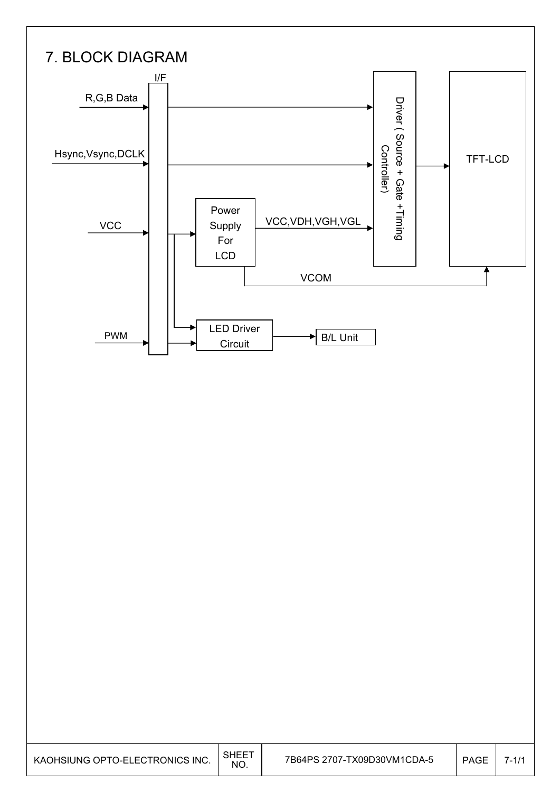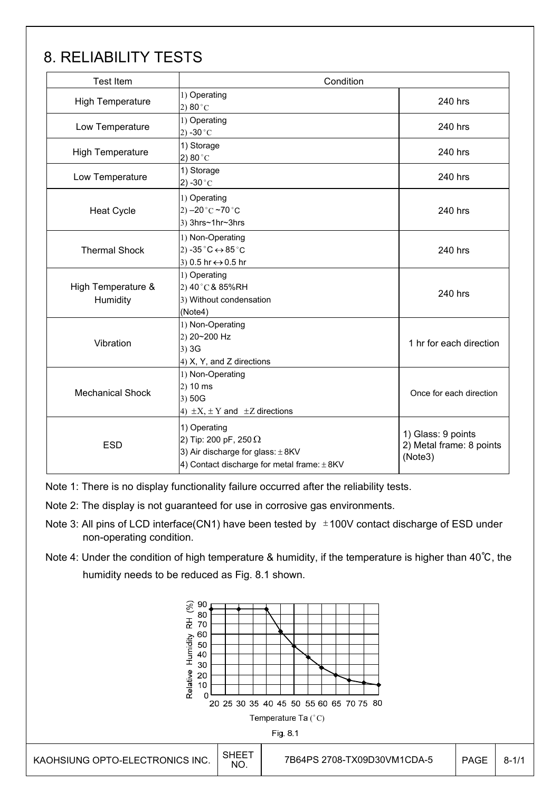# 8. RELIABILITY TESTS

| <b>Test Item</b>               | Condition                                                                                                                                |                                                           |
|--------------------------------|------------------------------------------------------------------------------------------------------------------------------------------|-----------------------------------------------------------|
| <b>High Temperature</b>        | 1) Operating<br>2) 80 $^{\circ}$ C                                                                                                       | 240 hrs                                                   |
| Low Temperature                | 1) Operating<br>2) -30 $^{\circ}$ C                                                                                                      | 240 hrs                                                   |
| <b>High Temperature</b>        | 1) Storage<br>2) 80 $^{\circ}$ C                                                                                                         | 240 hrs                                                   |
| Low Temperature                | 1) Storage<br>2) -30 $^{\circ}$ C                                                                                                        | 240 hrs                                                   |
| <b>Heat Cycle</b>              | 1) Operating<br>2) $-20 °C \sim 70 °C$<br>3) 3hrs~1hr~3hrs                                                                               | 240 hrs                                                   |
| <b>Thermal Shock</b>           | 1) Non-Operating<br>2) -35 $^{\circ}$ C $\leftrightarrow$ 85 $^{\circ}$ C<br>3) 0.5 hr ↔ 0.5 hr                                          | 240 hrs                                                   |
| High Temperature &<br>Humidity | 1) Operating<br>2) 40 °C & 85%RH<br>3) Without condensation<br>(Note4)                                                                   | 240 hrs                                                   |
| Vibration                      | 1) Non-Operating<br>2) 20~200 Hz<br>$3)$ 3G<br>4) X, Y, and Z directions                                                                 | 1 hr for each direction                                   |
| <b>Mechanical Shock</b>        | 1) Non-Operating<br>$2)$ 10 ms<br>3) 50G<br>4) $\pm X$ , $\pm Y$ and $\pm Z$ directions                                                  | Once for each direction                                   |
| <b>ESD</b>                     | 1) Operating<br>2) Tip: 200 pF, 250 $\Omega$<br>3) Air discharge for glass: $\pm$ 8KV<br>4) Contact discharge for metal frame: $\pm$ 8KV | 1) Glass: 9 points<br>2) Metal frame: 8 points<br>(Note3) |

Note 1: There is no display functionality failure occurred after the reliability tests.

- Note 2: The display is not guaranteed for use in corrosive gas environments.
- Note 3: All pins of LCD interface(CN1) have been tested by  $\pm$ 100V contact discharge of ESD under non-operating condition.
- Note 4: Under the condition of high temperature & humidity, if the temperature is higher than 40℃, the humidity needs to be reduced as Fig. 8.1 shown.

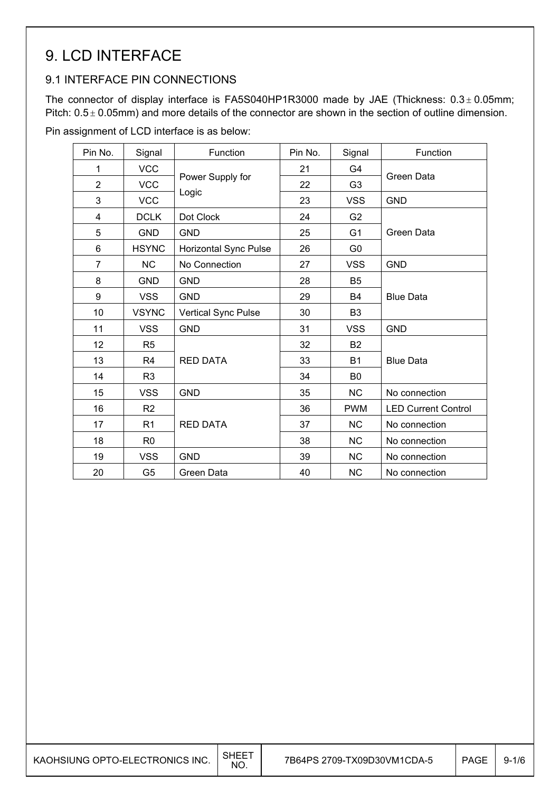# 9. LCD INTERFACE

### 9.1 INTERFACE PIN CONNECTIONS

The connector of display interface is FA5S040HP1R3000 made by JAE (Thickness:  $0.3 \pm 0.05$ mm; Pitch:  $0.5 \pm 0.05$ mm) and more details of the connector are shown in the section of outline dimension.

Pin assignment of LCD interface is as below:

| Pin No.        | Signal         | Function              | Pin No. | Signal         | Function                   |
|----------------|----------------|-----------------------|---------|----------------|----------------------------|
| 1              | <b>VCC</b>     |                       | 21      | G4             |                            |
| $\overline{2}$ | <b>VCC</b>     | Power Supply for      | 22      | G <sub>3</sub> | Green Data                 |
| 3              | <b>VCC</b>     | Logic                 | 23      | <b>VSS</b>     | <b>GND</b>                 |
| 4              | <b>DCLK</b>    | Dot Clock             | 24      | G <sub>2</sub> |                            |
| 5              | <b>GND</b>     | <b>GND</b>            | 25      | G <sub>1</sub> | Green Data                 |
| 6              | <b>HSYNC</b>   | Horizontal Sync Pulse | 26      | G <sub>0</sub> |                            |
| $\overline{7}$ | <b>NC</b>      | No Connection         | 27      | <b>VSS</b>     | <b>GND</b>                 |
| 8              | <b>GND</b>     | <b>GND</b>            | 28      | B <sub>5</sub> |                            |
| 9              | <b>VSS</b>     | <b>GND</b>            | 29      | B <sub>4</sub> | <b>Blue Data</b>           |
| 10             | <b>VSYNC</b>   | Vertical Sync Pulse   | 30      | B <sub>3</sub> |                            |
| 11             | <b>VSS</b>     | <b>GND</b>            | 31      | <b>VSS</b>     | <b>GND</b>                 |
| 12             | R <sub>5</sub> |                       | 32      | <b>B2</b>      |                            |
| 13             | R <sub>4</sub> | <b>RED DATA</b>       | 33      | <b>B1</b>      | <b>Blue Data</b>           |
| 14             | R <sub>3</sub> |                       | 34      | B <sub>0</sub> |                            |
| 15             | <b>VSS</b>     | <b>GND</b>            | 35      | <b>NC</b>      | No connection              |
| 16             | R <sub>2</sub> |                       | 36      | <b>PWM</b>     | <b>LED Current Control</b> |
| 17             | R <sub>1</sub> | <b>RED DATA</b>       | 37      | <b>NC</b>      | No connection              |
| 18             | R <sub>0</sub> |                       | 38      | <b>NC</b>      | No connection              |
| 19             | <b>VSS</b>     | <b>GND</b>            | 39      | <b>NC</b>      | No connection              |
| 20             | G <sub>5</sub> | Green Data            | 40      | <b>NC</b>      | No connection              |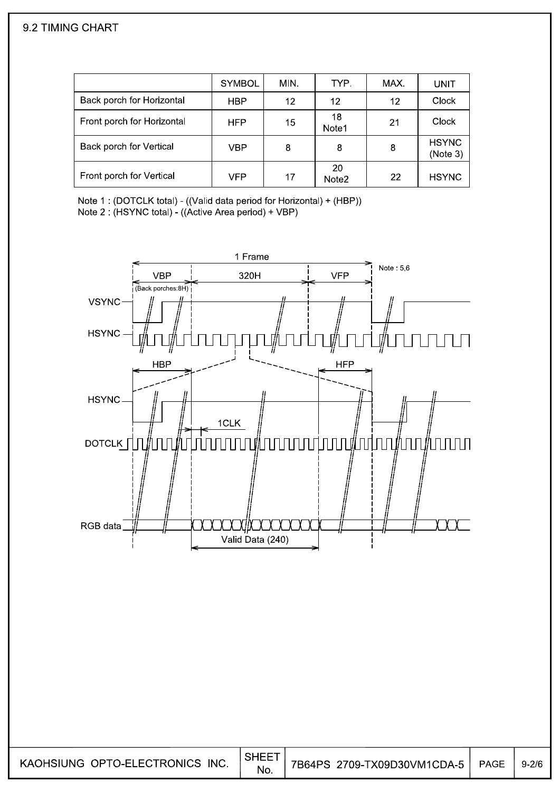#### 9.2 TIMING CHART

|                            | <b>SYMBOL</b> | MIN. | TYP.                    | MAX. | UNIT                     |
|----------------------------|---------------|------|-------------------------|------|--------------------------|
| Back porch for Horizontal  | HBP           | 12   | 12                      | 12   | Clock                    |
| Front porch for Horizontal | <b>HFP</b>    | 15   | 18<br>Note1             | 21   | Clock                    |
| Back porch for Vertical    | VBP           | 8    | 8                       | 8    | <b>HSYNC</b><br>(Note 3) |
| Front porch for Vertical   | VFP           | 17   | 20<br>Note <sub>2</sub> | 22   | <b>HSYNC</b>             |

Note 1: (DOTCLK total) - ((Valid data period for Horizontal) + (HBP)) Note 2 (HSYNC total) - ((Active Area period) + VBP)

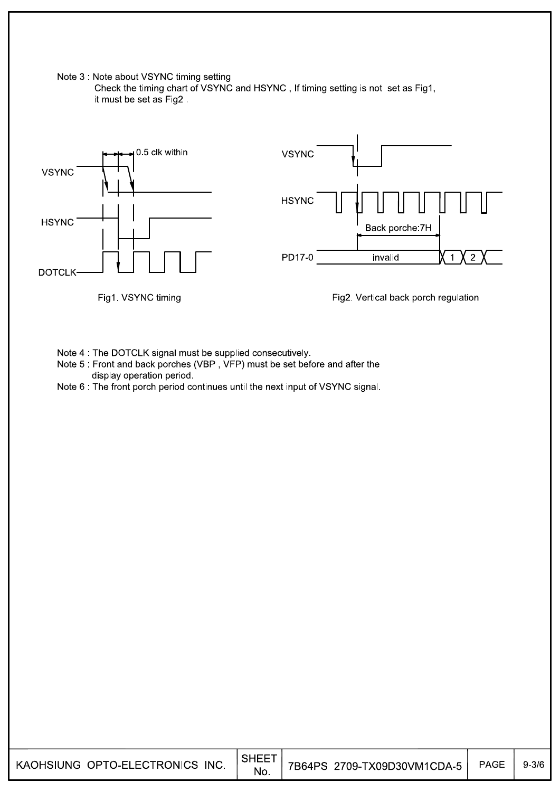Note 3 : Note about VSYNC timing setting Check the timing chart of VSYNC and HSYNC, If timing setting is not set as Fig1, it must be set as Fig2.



Note 4 : The DOTCLK signal must be supplied consecutively.

Note 5 : Front and back porches (VBP, VFP) must be set before and after the display operation period.

Note 6 The front porch period continues until the next input of VSYNC signal.

| KAOHSIUNG OPTO-ELECTRONICS INC. | <b>SHEET</b><br>No. | 7B64PS 2709-TX09D30VM1CDA-5 | PAGE | $9 - 3/6$ |
|---------------------------------|---------------------|-----------------------------|------|-----------|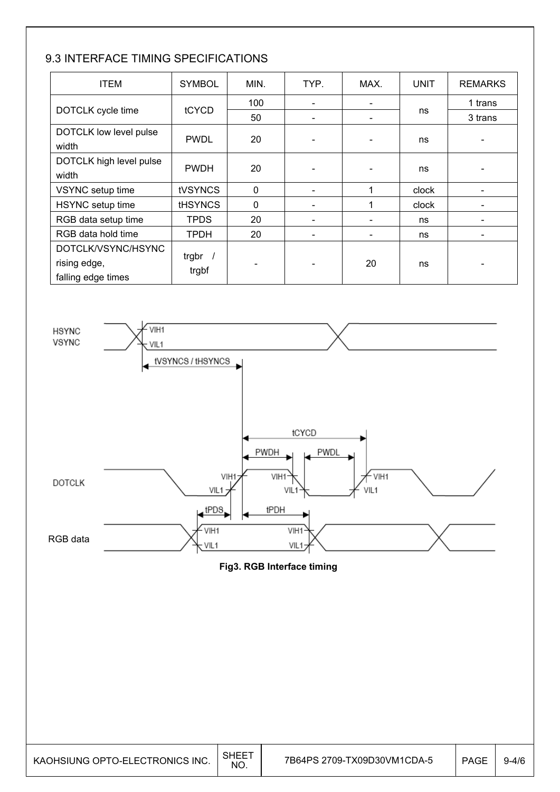### 9.3 INTERFACE TIMING SPECIFICATIONS

| <b>ITEM</b>                                              | <b>SYMBOL</b>      | MIN.         | TYP. | MAX. | <b>UNIT</b> | <b>REMARKS</b> |
|----------------------------------------------------------|--------------------|--------------|------|------|-------------|----------------|
|                                                          |                    | 100          |      |      |             | 1 trans        |
| DOTCLK cycle time                                        | tCYCD              | 50           |      |      | ns          | 3 trans        |
| DOTCLK low level pulse<br>width                          | <b>PWDL</b>        | 20           |      |      | ns          |                |
| DOTCLK high level pulse<br>width                         | <b>PWDH</b>        | 20           |      |      | ns          |                |
| VSYNC setup time                                         | <b>tVSYNCS</b>     | $\mathbf{0}$ |      | 1    | clock       |                |
| HSYNC setup time                                         | <b>tHSYNCS</b>     | $\mathbf 0$  |      |      | clock       |                |
| RGB data setup time                                      | <b>TPDS</b>        | 20           |      |      | ns          |                |
| RGB data hold time                                       | <b>TPDH</b>        | 20           |      |      | ns          |                |
| DOTCLK/VSYNC/HSYNC<br>rising edge,<br>falling edge times | trgbr $/$<br>trgbf |              |      | 20   | ns          |                |



**Fig3. RGB Interface timing**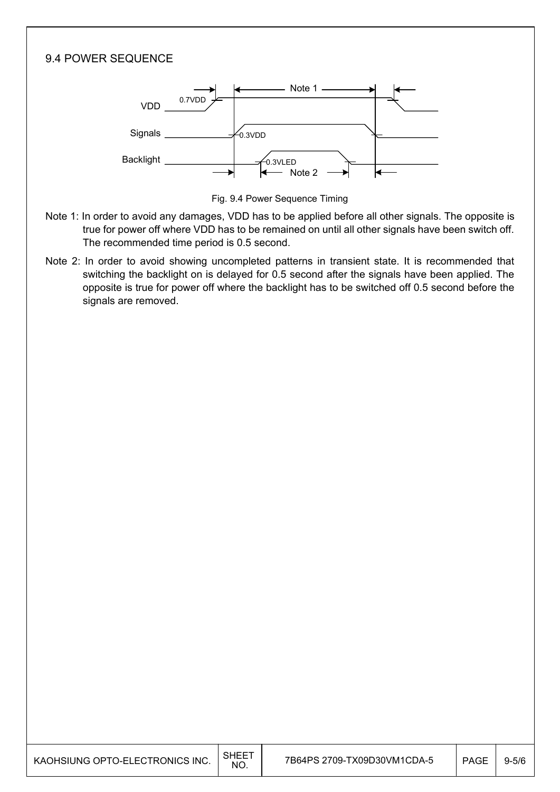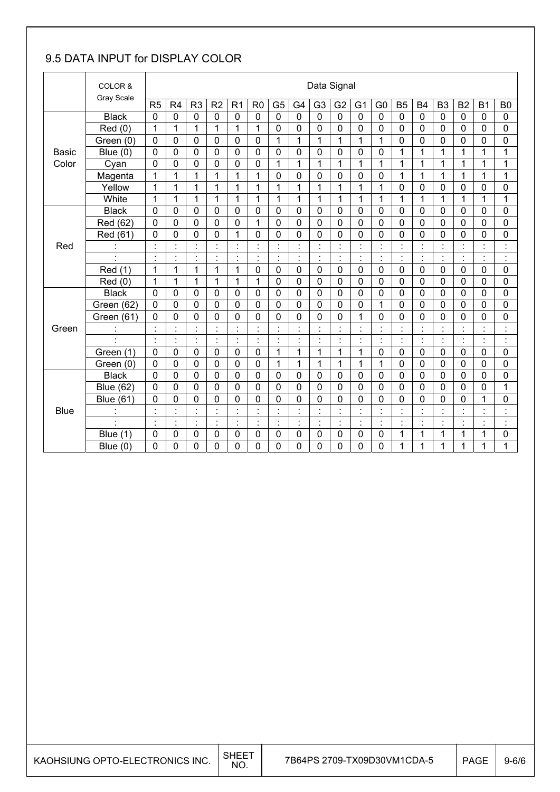### 9.5 DATA INPUT for DISPLAY COLOR

|              | COLOR &<br>Gray Scale |                          |                      |                      |                |                |                |                                  |                          |                | Data Signal          |                          |                                  |                                  |                      |                |                |                |                                 |
|--------------|-----------------------|--------------------------|----------------------|----------------------|----------------|----------------|----------------|----------------------------------|--------------------------|----------------|----------------------|--------------------------|----------------------------------|----------------------------------|----------------------|----------------|----------------|----------------|---------------------------------|
|              |                       | R5                       | R4                   | R <sub>3</sub>       | R <sub>2</sub> | R <sub>1</sub> | R <sub>0</sub> | G <sub>5</sub>                   | G <sub>4</sub>           | G <sub>3</sub> | G <sub>2</sub>       | G <sub>1</sub>           | G <sub>0</sub>                   | B <sub>5</sub>                   | <b>B4</b>            | B <sub>3</sub> | B <sub>2</sub> | <b>B1</b>      | B <sub>0</sub>                  |
|              | <b>Black</b>          | 0                        | $\mathbf 0$          | $\mathbf 0$          | 0              | 0              | $\mathbf 0$    | 0                                | $\mathbf 0$              | $\overline{0}$ | $\mathbf 0$          | 0                        | $\mathbf 0$                      | $\mathbf 0$                      | $\mathbf 0$          | $\mathbf 0$    | 0              | 0              | $\mathbf 0$                     |
|              | Red(0)                | 1                        | 1                    | $\mathbf{1}$         | 1              | 1              | 1              | 0                                | $\mathbf 0$              | 0              | $\mathbf 0$          | 0                        | 0                                | $\mathbf 0$                      | $\mathbf 0$          | 0              | 0              | 0              | 0                               |
|              | Green (0)             | $\mathbf 0$              | $\mathbf 0$          | 0                    | 0              | $\mathbf 0$    | $\mathbf 0$    | $\mathbf{1}$                     | 1                        | $\mathbf 1$    | $\overline{1}$       | $\mathbf{1}$             | 1                                | $\mathbf 0$                      | $\mathbf 0$          | $\mathbf 0$    | $\mathbf 0$    | $\overline{0}$ | 0                               |
| <b>Basic</b> | Blue $(0)$            | $\mathbf 0$              | $\mathbf 0$          | $\mathbf 0$          | 0              | 0              | $\overline{0}$ | 0                                | $\overline{0}$           | $\overline{0}$ | $\mathbf 0$          | $\mathbf 0$              | 0                                | 1                                | 1                    | 1              | $\overline{1}$ | 1              | 1                               |
| Color        | Cyan                  | 0                        | 0                    | 0                    | 0              | 0              | 0              | 1                                | 1                        | $\mathbf{1}$   | 1                    | 1                        | 1                                | 1                                | 1                    | 1              | 1              | 1              | 1                               |
|              | Magenta               | 1                        | 1                    | 1                    | 1              | 1              | 1              | 0                                | $\mathbf 0$              | 0              | $\mathbf 0$          | $\mathbf 0$              | $\mathbf 0$                      | 1                                | 1                    | 1              | 1              | 1              | 1                               |
|              | Yellow                | 1                        | 1                    | $\mathbf{1}$         | 1              | $\mathbf{1}$   | 1              | 1                                | 1                        | $\mathbf{1}$   | $\overline{1}$       | 1                        | 1                                | $\mathbf 0$                      | $\mathbf 0$          | 0              | 0              | 0              | 0                               |
|              | White                 | 1                        | 1                    | $\mathbf{1}$         | $\mathbf{1}$   | 1              | 1              | $\mathbf{1}$                     | $\mathbf{1}$             | $\overline{1}$ | $\mathbf{1}$         | 1                        | 1                                | $\mathbf{1}$                     | 1                    | 1              | 1              | $\mathbf{1}$   | 1                               |
|              | <b>Black</b>          | 0                        | $\mathbf 0$          | 0                    | 0              | $\mathbf 0$    | $\mathbf 0$    | 0                                | $\mathbf 0$              | 0              | 0                    | $\mathbf 0$              | $\mathbf 0$                      | 0                                | $\mathbf 0$          | 0              | 0              | 0              | 0                               |
|              | Red (62)              | 0                        | 0                    | $\overline{0}$       | 0              | 0              | 1              | 0                                | $\mathbf 0$              | $\Omega$       | $\overline{0}$       | $\mathbf 0$              | 0                                | $\mathbf 0$                      | $\mathbf 0$          | $\mathbf 0$    | 0              | 0              | $\mathbf 0$                     |
|              | Red (61)              | 0                        | 0                    | 0                    | 0              | 1              | 0              | 0                                | 0                        | 0              | $\mathbf 0$          | 0                        | 0                                | $\mathbf 0$                      | 0                    | $\mathbf 0$    | 0              | 0              | 0                               |
| Red          | $\ddot{\cdot}$        | $\cdot$                  | Ì,                   | $\blacksquare$       | $\blacksquare$ | $\cdot$        | ä,             | ÷                                | $\cdot$                  | $\cdot$        | $\blacksquare$       | $\cdot$                  | $\cdot$<br>$\cdot$               | $\blacksquare$<br>$\blacksquare$ | $\cdot$              | $\cdot$        | $\blacksquare$ | ä,             | $\ddot{\cdot}$                  |
|              | $\blacksquare$        | $\blacksquare$           | $\blacksquare$       | $\blacksquare$<br>Ĭ. | $\blacksquare$ | $\cdot$        | $\blacksquare$ | $\blacksquare$<br>$\bullet$      | $\blacksquare$           | $\blacksquare$ | $\blacksquare$       | $\blacksquare$           | $\blacksquare$                   | $\blacksquare$                   | $\blacksquare$       | $\blacksquare$ | ò.             | $\blacksquare$ | $\blacksquare$<br>$\bullet$     |
|              | Red (1)               | 1                        | 1                    | $\mathbf 1$          | $\mathbf{1}$   | $\mathbf{1}$   | $\mathbf 0$    | 0                                | $\mathbf 0$              | 0              | $\mathbf 0$          | $\mathbf 0$              | $\mathbf 0$                      | $\mathbf 0$                      | $\mathbf 0$          | $\mathbf 0$    | 0              | 0              | 0                               |
|              | Red (0)               | 1                        | 1                    | 1                    | 1              | 1              | 1              | 0                                | 0                        | 0              | $\mathbf 0$          | 0                        | 0                                | 0                                | $\mathbf 0$          | 0              | 0              | 0              | 0                               |
|              | <b>Black</b>          | $\overline{0}$           | $\mathbf 0$          | 0                    | 0              | $\mathbf 0$    | $\mathbf 0$    | 0                                | $\mathbf 0$              | 0              | $\mathbf 0$          | $\mathbf 0$              | $\mathbf 0$                      | $\mathbf 0$                      | $\mathbf 0$          | $\mathbf 0$    | $\mathbf 0$    | $\mathbf 0$    | 0                               |
|              | Green (62)            | 0                        | 0                    | 0                    | 0              | $\mathbf 0$    | $\mathbf 0$    | 0                                | $\mathbf 0$              | 0              | $\mathbf 0$          | 0                        | 1                                | $\mathbf 0$                      | $\mathbf 0$          | 0              | 0              | 0              | 0                               |
|              | Green (61)            | 0                        | 0                    | $\mathbf 0$          | 0              | 0              | 0              | 0                                | $\mathbf 0$              | $\overline{0}$ | 0                    | 1                        | 0                                | $\mathbf 0$                      | $\overline{0}$       | 0              | 0              | $\overline{0}$ | 0                               |
| Green        |                       | $\cdot$                  | $\ddot{\phantom{a}}$ | $\ddot{\phantom{a}}$ | t              | $\blacksquare$ | ä,             | ċ                                |                          |                | Ì                    | $\blacksquare$           | İ                                | Ì                                |                      |                | $\ddot{\cdot}$ |                | Ì                               |
|              | ł,                    | $\overline{\phantom{a}}$ | ł.                   | ċ,                   | ŀ              | ċ,             | ä,             | ċ                                | $\overline{\phantom{a}}$ | ÷              | ł,                   | $\overline{\phantom{a}}$ | ł.                               | $\ddot{\cdot}$                   | $\ddot{\phantom{a}}$ | ċ,             | ł,             | ċ,             | ċ                               |
|              | Green (1)             | 0                        | 0                    | $\mathbf 0$          | 0              | 0              | $\mathbf 0$    | 1                                | 1                        | 1              | 1                    | 1                        | 0                                | 0                                | 0                    | $\mathbf 0$    | 0              | 0              | 0                               |
|              | Green (0)             | $\mathbf 0$              | 0                    | $\mathbf 0$          | 0              | $\mathbf 0$    | $\mathbf 0$    | 1                                | 1                        | 1              | 1                    | 1                        | 1                                | $\mathbf 0$                      | $\mathbf{0}$         | 0              | 0              | 0              | 0                               |
|              | <b>Black</b>          | $\overline{0}$           | 0                    | 0                    | 0              | 0              | $\mathbf 0$    | 0                                | $\mathbf 0$              | 0              | 0                    | 0                        | 0                                | $\mathbf 0$                      | $\mathbf 0$          | $\mathbf 0$    | 0              | 0              | $\mathbf 0$                     |
|              | <b>Blue (62)</b>      | 0                        | 0                    | $\mathbf 0$          | 0              | 0              | $\overline{0}$ | 0                                | $\overline{0}$           | $\overline{0}$ | $\overline{0}$       | $\mathbf 0$              | 0                                | $\mathbf 0$                      | $\mathbf 0$          | $\overline{0}$ | 0              | 0              | 1                               |
|              | <b>Blue (61)</b>      | 0                        | 0                    | 0                    | 0              | 0              | 0              | 0                                | $\mathbf 0$              | 0              | 0                    | 0                        | 0                                | $\mathbf 0$                      | 0                    | 0              | 0              | 1              | 0                               |
| <b>Blue</b>  | $\mathbf{r}$          |                          | $\blacksquare$       | $\blacksquare$       |                | ٠<br>٠         | ÷              | $\blacksquare$<br>$\blacksquare$ |                          |                | $\blacksquare$       |                          | $\blacksquare$<br>$\blacksquare$ | $\blacksquare$                   |                      |                | $\blacksquare$ | $\blacksquare$ | $\cdot$<br>$\ddot{\phantom{a}}$ |
|              | $\blacksquare$        | $\ddot{\cdot}$           | ł.                   | ł,                   | ÷              | $\ddot{\cdot}$ | $\blacksquare$ | ÷,                               | $\ddot{\cdot}$           | $\cdot$        | $\ddot{\phantom{a}}$ | ł,                       | Ì.                               | $\blacksquare$                   | ċ                    | $\blacksquare$ | Ì.             | ä,             | $\ddot{\cdot}$                  |
|              | (1)<br><b>Blue</b>    | 0                        | 0                    | $\mathbf 0$          | 0              | 0              | 0              | 0                                | $\mathbf 0$              | 0              | 0                    | 0                        | $\mathbf 0$                      | 1                                | 1                    | 1              | 1              | 1              | 0                               |
|              | Blue $(0)$            | 0                        | 0                    | 0                    | 0              | 0              | 0              | 0                                | $\mathbf 0$              | 0              | 0                    | 0                        | 0                                | 1                                | 1                    | 1              | 1              | 1              | 1                               |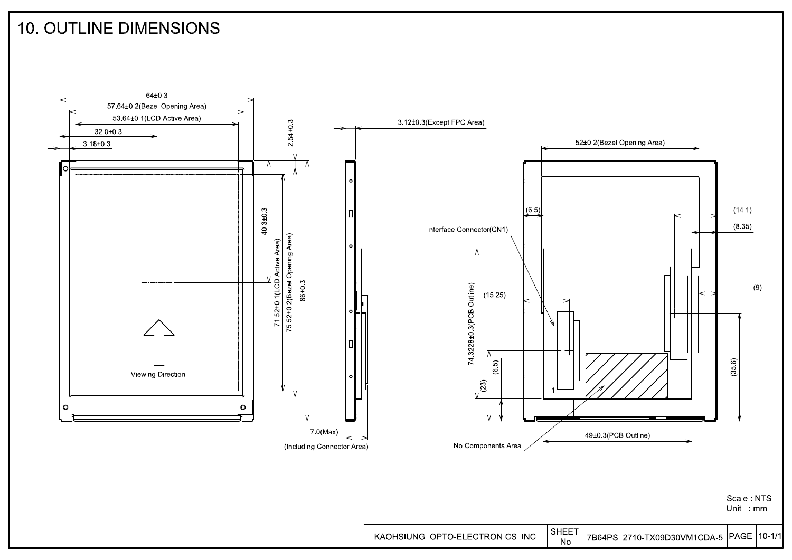### **10. OUTLINE DIMENSIONS**



Scale NTS Unit mm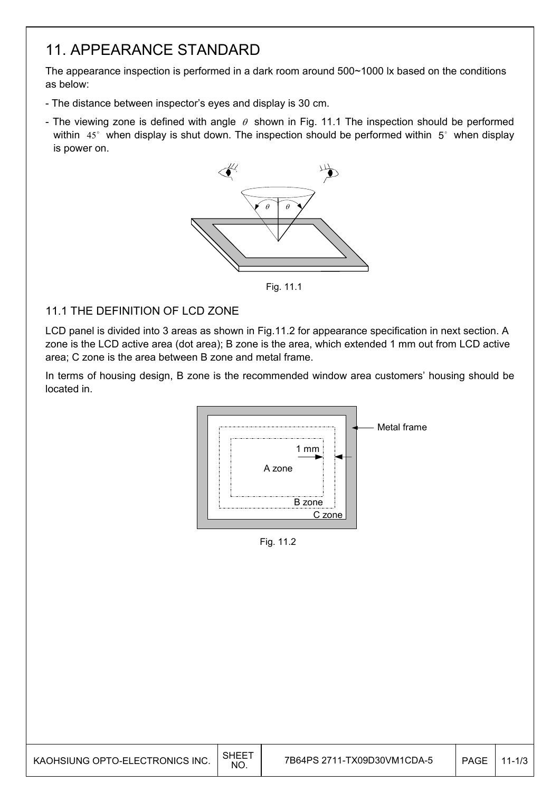### 11. APPEARANCE STANDARD

The appearance inspection is performed in a dark room around 500~1000 lx based on the conditions as below:

- The distance between inspector's eyes and display is 30 cm.
- The viewing zone is defined with angle  $\theta$  shown in Fig. 11.1 The inspection should be performed within  $45^\circ$  when display is shut down. The inspection should be performed within  $5^\circ$  when display is power on.



Fig. 11.1

#### 11.1 THE DEFINITION OF LCD ZONE

LCD panel is divided into 3 areas as shown in Fig.11.2 for appearance specification in next section. A zone is the LCD active area (dot area); B zone is the area, which extended 1 mm out from LCD active area; C zone is the area between B zone and metal frame.

In terms of housing design, B zone is the recommended window area customers' housing should be located in.



Fig. 11.2

| KAOHSIUNG OPTO-ELECTRONICS INC. | SHEE <sup>-</sup><br>NO. | 7B64PS 2711-TX09D30VM1CDA-5 | PAGE | $11 - 1/3$ |
|---------------------------------|--------------------------|-----------------------------|------|------------|
|---------------------------------|--------------------------|-----------------------------|------|------------|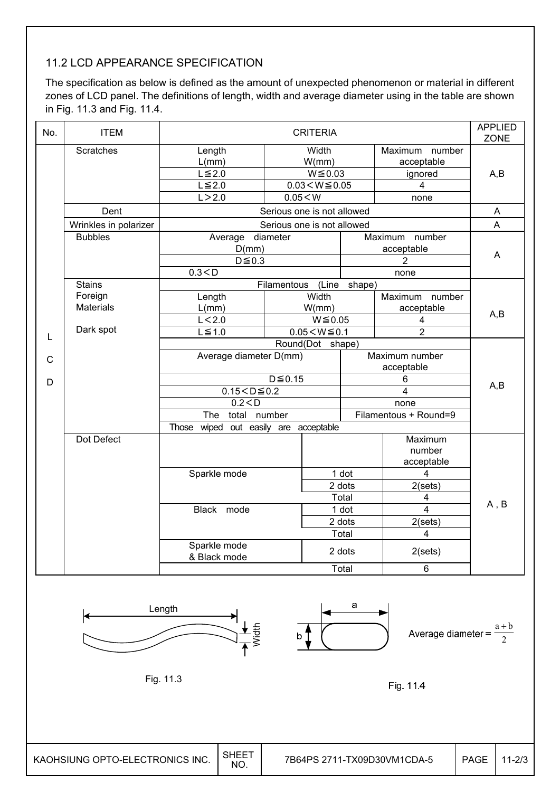### 11.2 LCD APPEARANCE SPECIFICATION

The specification as below is defined as the amount of unexpected phenomenon or material in different zones of LCD panel. The definitions of length, width and average diameter using in the table are shown in Fig. 11.3 and Fig. 11.4.

| No. | <b>ITEM</b>               | <b>APPLIED</b><br><b>CRITERIA</b> |                                       |                            |                                      |                               |      |  |
|-----|---------------------------|-----------------------------------|---------------------------------------|----------------------------|--------------------------------------|-------------------------------|------|--|
|     | <b>Scratches</b>          | Length                            | Width                                 |                            |                                      | Maximum number                |      |  |
|     |                           | L(mm)                             |                                       | W/mm)                      |                                      | acceptable                    |      |  |
|     |                           | $L \leq 2.0$                      |                                       | $W \le 0.03$               |                                      | ignored                       | A,B  |  |
|     |                           | $L \leq 2.0$                      | $0.03 < W \le 0.05$<br>$\overline{4}$ |                            |                                      |                               |      |  |
|     |                           |                                   | L > 2.0<br>0.05 < W<br>none           |                            |                                      |                               |      |  |
|     | Dent                      |                                   |                                       | Serious one is not allowed |                                      |                               | A    |  |
|     | Wrinkles in polarizer     |                                   |                                       | Serious one is not allowed |                                      |                               | A    |  |
|     | <b>Bubbles</b>            | Average diameter                  |                                       |                            |                                      | Maximum<br>number             |      |  |
|     |                           | D(mm)                             |                                       |                            |                                      | acceptable                    | A    |  |
|     |                           | $D \le 0.3$                       |                                       |                            |                                      | 2                             |      |  |
|     |                           | 0.3 < D                           |                                       |                            |                                      | none                          |      |  |
|     | <b>Stains</b>             |                                   | Filamentous                           | (Line                      | shape)                               |                               |      |  |
|     | Foreign                   | Length                            |                                       | Width                      |                                      | Maximum<br>number             |      |  |
|     | <b>Materials</b>          | L(mm)                             | W/mm)                                 |                            |                                      | acceptable                    | A,B  |  |
|     |                           | L < 2.0<br>$W \le 0.05$<br>4      |                                       |                            |                                      |                               |      |  |
| L   | Dark spot<br>$L \leq 1.0$ |                                   |                                       |                            | $\overline{2}$<br>$0.05 < W \le 0.1$ |                               |      |  |
|     |                           | Round(Dot shape)                  |                                       |                            |                                      |                               |      |  |
| C   |                           | Average diameter D(mm)            | Maximum number<br>acceptable          |                            |                                      |                               |      |  |
|     |                           |                                   |                                       |                            |                                      |                               |      |  |
| D   |                           |                                   | $D \le 0.15$                          |                            |                                      | 6                             | A,B  |  |
|     |                           | $0.15 < D \le 0.2$                |                                       |                            |                                      | 4                             |      |  |
|     |                           | 0.2 < D                           |                                       |                            |                                      | none<br>Filamentous + Round=9 |      |  |
|     |                           | number<br>The<br>total            |                                       |                            |                                      |                               |      |  |
|     |                           | Those wiped                       | out easily are acceptable             |                            |                                      |                               |      |  |
|     | Dot Defect                |                                   |                                       |                            |                                      | Maximum                       |      |  |
|     |                           |                                   |                                       |                            |                                      | number                        |      |  |
|     |                           |                                   |                                       |                            |                                      | acceptable                    |      |  |
|     |                           | Sparkle mode                      |                                       | 1 dot                      |                                      | $\overline{4}$                |      |  |
|     |                           |                                   |                                       | 2 dots                     |                                      | 2(sets)                       |      |  |
|     |                           |                                   |                                       | Total                      |                                      | 4                             | A, B |  |
|     |                           | Black mode                        |                                       | 1 dot                      |                                      | 4                             |      |  |
|     |                           |                                   |                                       | 2 dots                     |                                      | 2(sets)                       |      |  |
|     |                           |                                   |                                       | Total                      |                                      | 4                             |      |  |
|     |                           | Sparkle mode<br>& Black mode      |                                       | 2 dots                     |                                      | 2(sets)                       |      |  |
|     |                           |                                   |                                       | Total                      |                                      | 6                             |      |  |
|     |                           |                                   |                                       |                            |                                      |                               |      |  |



Fig. 11.4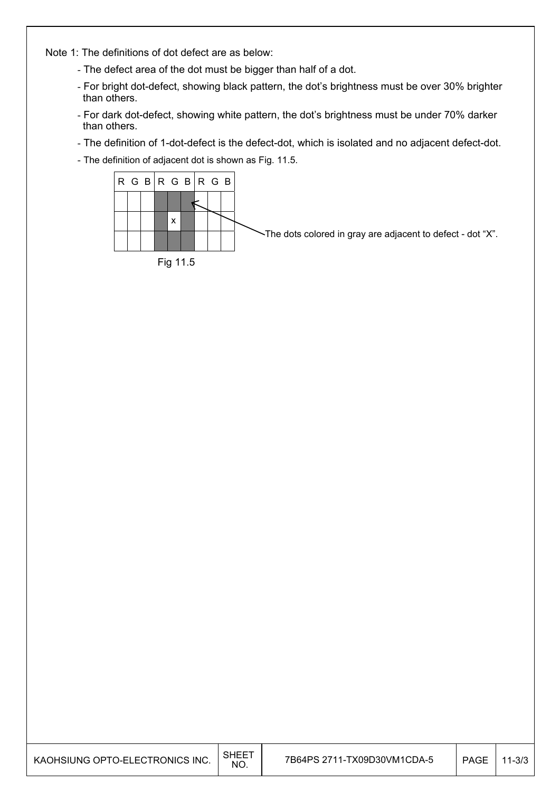Note 1: The definitions of dot defect are as below:

- The defect area of the dot must be bigger than half of a dot.
- For bright dot-defect, showing black pattern, the dot's brightness must be over 30% brighter than others.
- For dark dot-defect, showing white pattern, the dot's brightness must be under 70% darker than others.
- The definition of 1-dot-defect is the defect-dot, which is isolated and no adjacent defect-dot.
- The definition of adjacent dot is shown as Fig. 11.5.



| KAOHSIUNG OPTO-ELECTRONICS INC. | <b>SHEET</b><br>NO. | 7B64PS 2711-TX09D30VM1CDA-5 | PAGE | $11 - 3/3$ |
|---------------------------------|---------------------|-----------------------------|------|------------|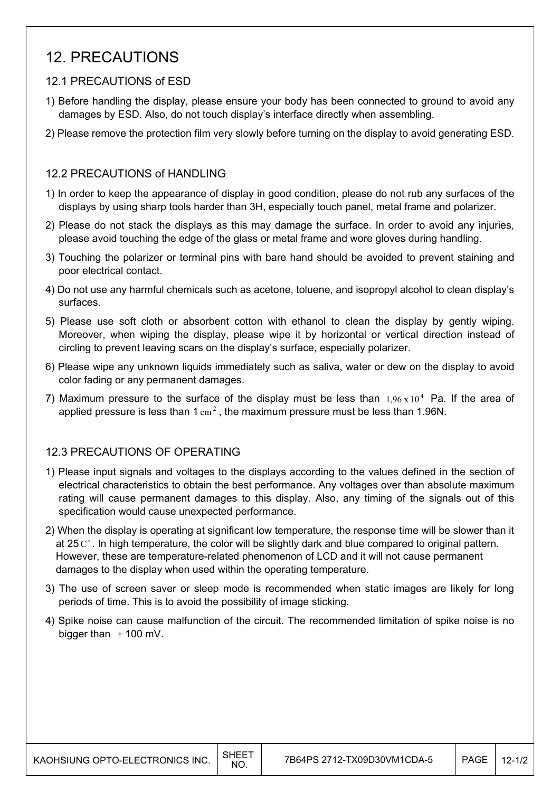### 12. PRECAUTIONS

#### 12.1 PRECAUTIONS of ESD

- 1) Before handling the display, please ensure your body has been connected to ground to avoid any damages by ESD. Also, do not touch display's interface directly when assembling.
- 2) Please remove the protection film very slowly before turning on the display to avoid generating ESD.

#### 12.2 PRECAUTIONS of HANDLING

- 1) In order to keep the appearance of display in good condition, please do not rub any surfaces of the displays by using sharp tools harder than 3H, especially touch panel, metal frame and polarizer.
- 2) Please do not stack the displays as this may damage the surface. In order to avoid any injuries, please avoid touching the edge of the glass or metal frame and wore gloves during handling.
- 3) Touching the polarizer or terminal pins with bare hand should be avoided to prevent staining and poor electrical contact.
- 4) Do not use any harmful chemicals such as acetone, toluene, and isopropyl alcohol to clean display's surfaces.
- 5) Please use soft cloth or absorbent cotton with ethanol to clean the display by gently wiping. Moreover, when wiping the display, please wipe it by horizontal or vertical direction instead of circling to prevent leaving scars on the display's surface, especially polarizer.
- 6) Please wipe any unknown liquids immediately such as saliva, water or dew on the display to avoid color fading or any permanent damages.
- 7) Maximum pressure to the surface of the display must be less than  $1.96 \times 10^4$  Pa. If the area of applied pressure is less than  $1 \text{ cm}^2$ , the maximum pressure must be less than 1.96N.

#### 12.3 PRECAUTIONS OF OPERATING

- 1) Please input signals and voltages to the displays according to the values defined in the section of electrical characteristics to obtain the best performance. Any voltages over than absolute maximum rating will cause permanent damages to this display. Also, any timing of the signals out of this specification would cause unexpected performance.
- 2) When the display is operating at significant low temperature, the response time will be slower than it at 25  $\mathrm{C}^{\circ}$ . In high temperature, the color will be slightly dark and blue compared to original pattern. However, these are temperature-related phenomenon of LCD and it will not cause permanent damages to the display when used within the operating temperature.
- 3) The use of screen saver or sleep mode is recommended when static images are likely for long periods of time. This is to avoid the possibility of image sticking.
- 4) Spike noise can cause malfunction of the circuit. The recommended limitation of spike noise is no bigger than  $\pm$  100 mV.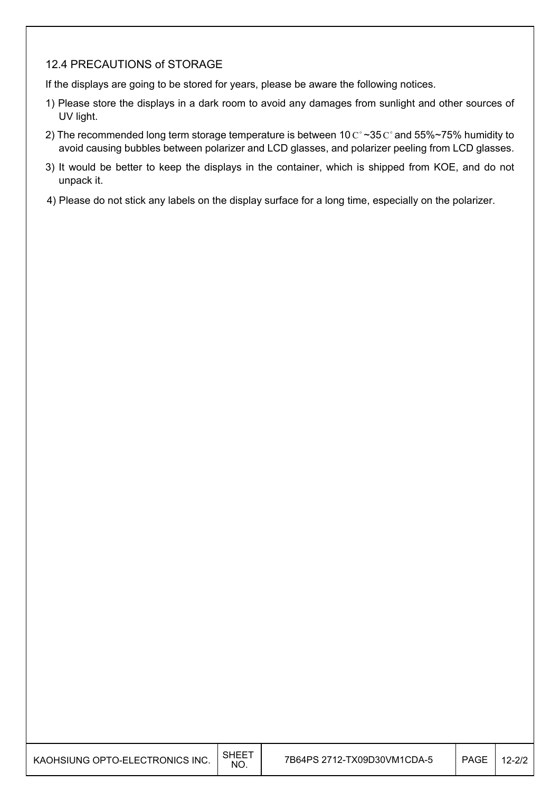#### 12.4 PRECAUTIONS of STORAGE

If the displays are going to be stored for years, please be aware the following notices.

- 1) Please store the displays in a dark room to avoid any damages from sunlight and other sources of UV light.
- 2) The recommended long term storage temperature is between 10  $C^{\circ}$  ~35  $C^{\circ}$  and 55%~75% humidity to avoid causing bubbles between polarizer and LCD glasses, and polarizer peeling from LCD glasses.
- 3) It would be better to keep the displays in the container, which is shipped from KOE, and do not unpack it.
- 4) Please do not stick any labels on the display surface for a long time, especially on the polarizer.

| KAOHSIUNG OPTO-ELECTRONICS INC. | <b>SHEET</b><br>NO. | 7B64PS 2712-TX09D30VM1CDA-5 | PAGE | $12 - 2/2$ |
|---------------------------------|---------------------|-----------------------------|------|------------|